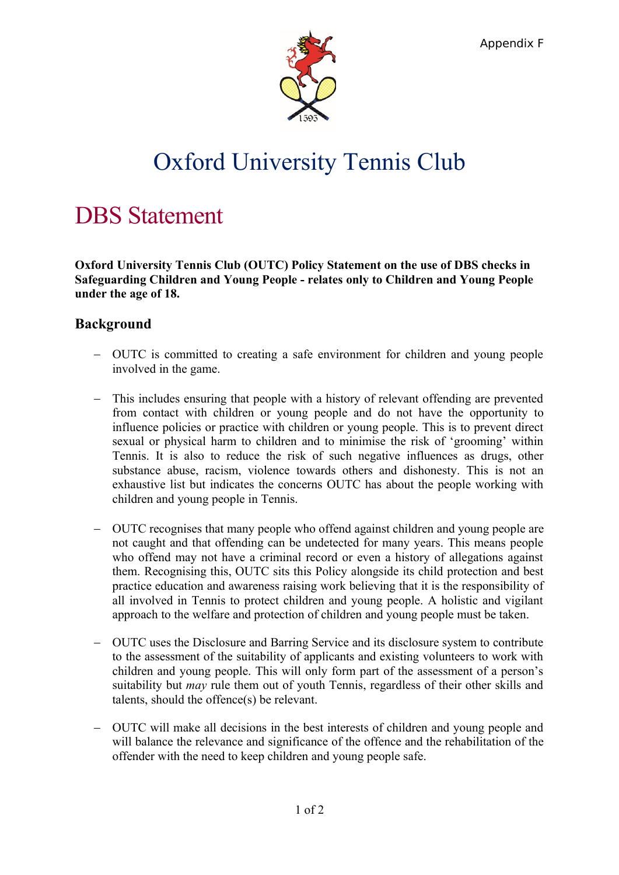

# Oxford University Tennis Club

## DBS Statement

**Oxford University Tennis Club (OUTC) Policy Statement on the use of DBS checks in Safeguarding Children and Young People - relates only to Children and Young People under the age of 18.** 

### **Background**

- OUTC is committed to creating a safe environment for children and young people involved in the game.
- This includes ensuring that people with a history of relevant offending are prevented from contact with children or young people and do not have the opportunity to influence policies or practice with children or young people. This is to prevent direct sexual or physical harm to children and to minimise the risk of 'grooming' within Tennis. It is also to reduce the risk of such negative influences as drugs, other substance abuse, racism, violence towards others and dishonesty. This is not an exhaustive list but indicates the concerns OUTC has about the people working with children and young people in Tennis.
- OUTC recognises that many people who offend against children and young people are not caught and that offending can be undetected for many years. This means people who offend may not have a criminal record or even a history of allegations against them. Recognising this, OUTC sits this Policy alongside its child protection and best practice education and awareness raising work believing that it is the responsibility of all involved in Tennis to protect children and young people. A holistic and vigilant approach to the welfare and protection of children and young people must be taken.
- OUTC uses the Disclosure and Barring Service and its disclosure system to contribute to the assessment of the suitability of applicants and existing volunteers to work with children and young people. This will only form part of the assessment of a person's suitability but *may* rule them out of youth Tennis, regardless of their other skills and talents, should the offence(s) be relevant.
- OUTC will make all decisions in the best interests of children and young people and will balance the relevance and significance of the offence and the rehabilitation of the offender with the need to keep children and young people safe.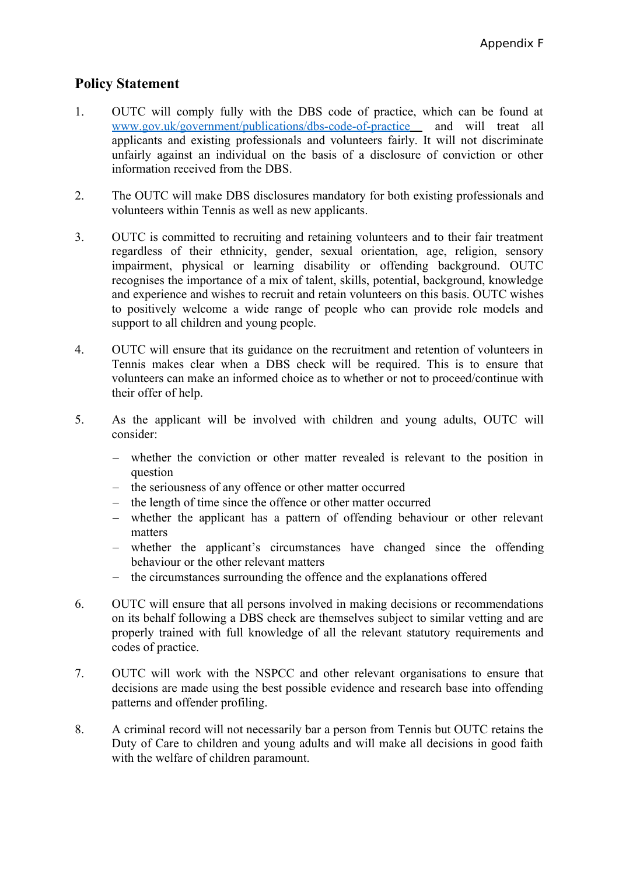#### **Policy Statement**

- 1. OUTC will comply fully with the DBS code of practice, which can be found at www.gov.uk/government/publications/dbs-code-of-practice and will treat all applicants and existing professionals and volunteers fairly. It will not discriminate unfairly against an individual on the basis of a disclosure of conviction or other information received from the DBS.
- 2. The OUTC will make DBS disclosures mandatory for both existing professionals and volunteers within Tennis as well as new applicants.
- 3. OUTC is committed to recruiting and retaining volunteers and to their fair treatment regardless of their ethnicity, gender, sexual orientation, age, religion, sensory impairment, physical or learning disability or offending background. OUTC recognises the importance of a mix of talent, skills, potential, background, knowledge and experience and wishes to recruit and retain volunteers on this basis. OUTC wishes to positively welcome a wide range of people who can provide role models and support to all children and young people.
- 4. OUTC will ensure that its guidance on the recruitment and retention of volunteers in Tennis makes clear when a DBS check will be required. This is to ensure that volunteers can make an informed choice as to whether or not to proceed/continue with their offer of help.
- 5. As the applicant will be involved with children and young adults, OUTC will consider:
	- whether the conviction or other matter revealed is relevant to the position in question
	- the seriousness of any offence or other matter occurred
	- $\theta$  the length of time since the offence or other matter occurred
	- whether the applicant has a pattern of offending behaviour or other relevant matters
	- whether the applicant's circumstances have changed since the offending behaviour or the other relevant matters
	- the circumstances surrounding the offence and the explanations offered
- 6. OUTC will ensure that all persons involved in making decisions or recommendations on its behalf following a DBS check are themselves subject to similar vetting and are properly trained with full knowledge of all the relevant statutory requirements and codes of practice.
- 7. OUTC will work with the NSPCC and other relevant organisations to ensure that decisions are made using the best possible evidence and research base into offending patterns and offender profiling.
- 8. A criminal record will not necessarily bar a person from Tennis but OUTC retains the Duty of Care to children and young adults and will make all decisions in good faith with the welfare of children paramount.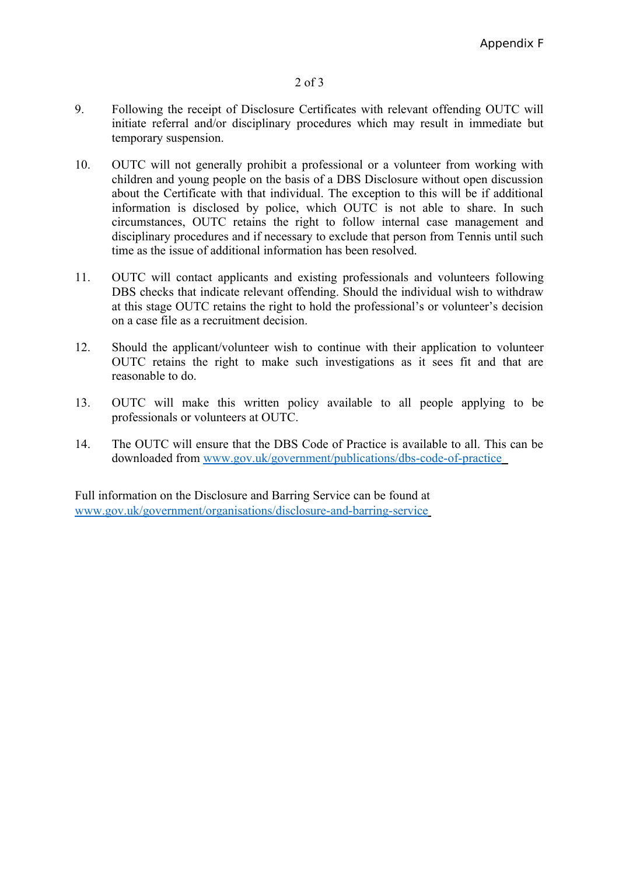#### 2 of 3

- 9. Following the receipt of Disclosure Certificates with relevant offending OUTC will initiate referral and/or disciplinary procedures which may result in immediate but temporary suspension.
- 10. OUTC will not generally prohibit a professional or a volunteer from working with children and young people on the basis of a DBS Disclosure without open discussion about the Certificate with that individual. The exception to this will be if additional information is disclosed by police, which OUTC is not able to share. In such circumstances, OUTC retains the right to follow internal case management and disciplinary procedures and if necessary to exclude that person from Tennis until such time as the issue of additional information has been resolved.
- 11. OUTC will contact applicants and existing professionals and volunteers following DBS checks that indicate relevant offending. Should the individual wish to withdraw at this stage OUTC retains the right to hold the professional's or volunteer's decision on a case file as a recruitment decision.
- 12. Should the applicant/volunteer wish to continue with their application to volunteer OUTC retains the right to make such investigations as it sees fit and that are reasonable to do.
- 13. OUTC will make this written policy available to all people applying to be professionals or volunteers at OUTC.
- 14. The OUTC will ensure that the DBS Code of Practice is available to all. This can be downloaded from [www.gov.uk/government/publications/dbs-code-of-practice](http://www.disclosure.gov.uk/)

Full information on the Disclosure and Barring Service can be found at  [www.gov.uk/government/organisations/disclosure-and-barring-service](http://www.gov.uk/government/organisations/disclosure-and-barring-service)